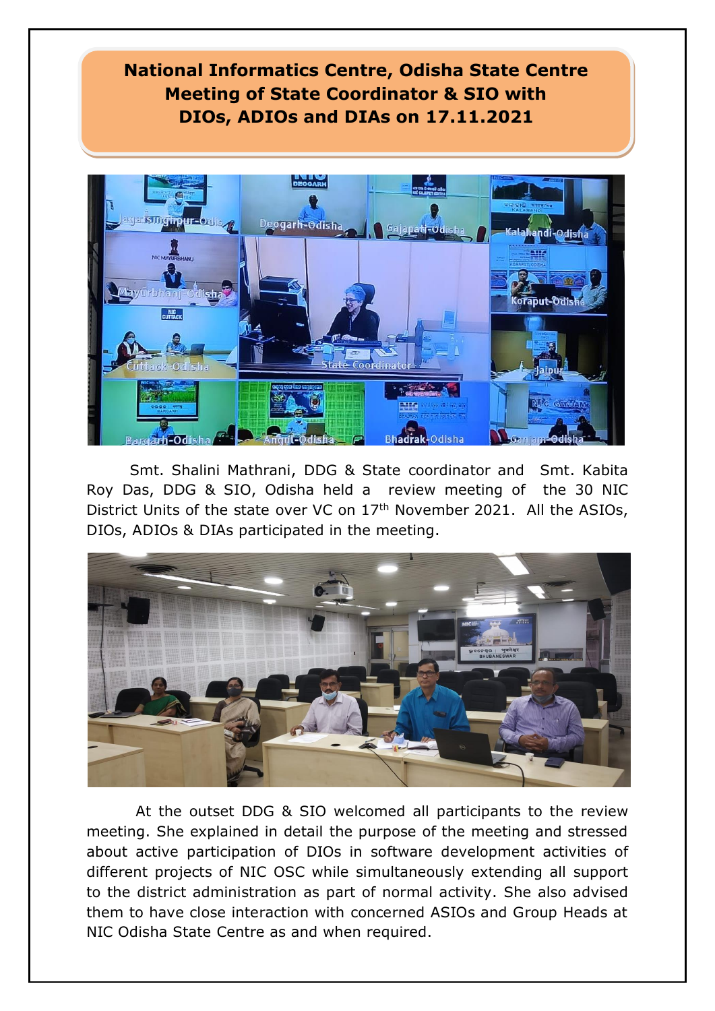## **National Informatics Centre, Odisha State Centre Meeting of State Coordinator & SIO with DIOs, ADIOs and DIAs on 17.11.2021**



Smt. Shalini Mathrani, DDG & State coordinator and Smt. Kabita Roy Das, DDG & SIO, Odisha held a review meeting of the 30 NIC District Units of the state over VC on 17<sup>th</sup> November 2021. All the ASIOs, DIOs, ADIOs & DIAs participated in the meeting.



 At the outset DDG & SIO welcomed all participants to the review meeting. She explained in detail the purpose of the meeting and stressed about active participation of DIOs in software development activities of different projects of NIC OSC while simultaneously extending all support to the district administration as part of normal activity. She also advised them to have close interaction with concerned ASIOs and Group Heads at NIC Odisha State Centre as and when required.